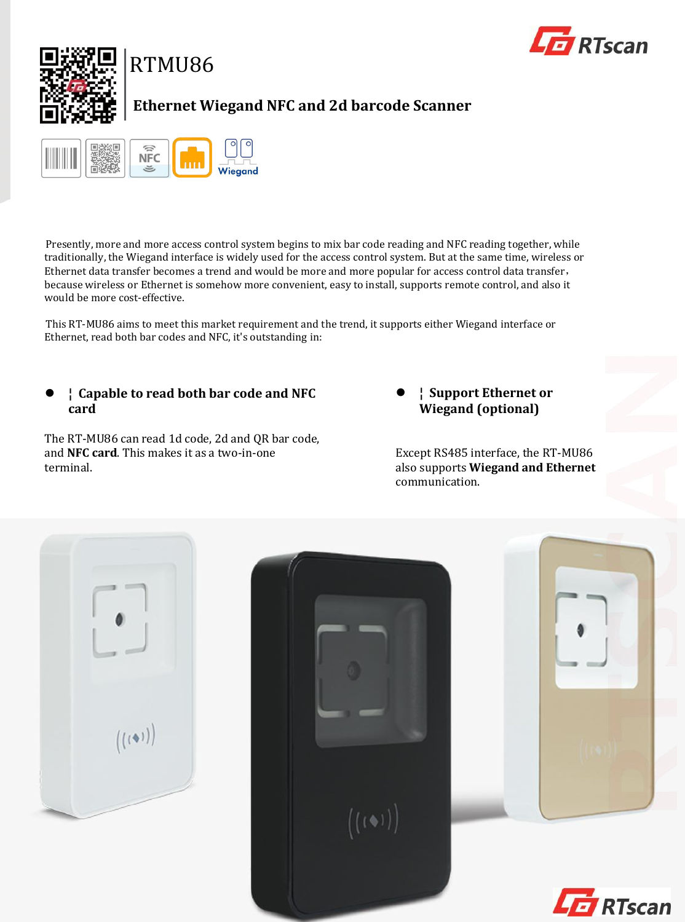



# **Ethernet Wiegand NFC and 2d barcode Scanner**



Presently, more and more access control system begins to mix bar code reading and NFC reading together, while traditionally, the Wiegand interface is widely used for the access control system. But at the same time, wireless or Ethernet data transfer becomes a trend and would be more and more popular for access control data transfer, because wireless or Ethernet is somehow more convenient, easy to install, supports remote control, and also it would be more cost-effective.

This RT-MU86 aims to meet this market requirement and the trend, it supports either Wiegand interface or Ethernet, read both bar codes and NFC, it's outstanding in:

### **¦ Capable to read both bar code and NFC card**

The RT-MU86 can read 1d code, 2d and QR bar code, and **NFC card**. This makes it as a two-in-one terminal.

 **¦ Support Ethernet or Wiegand (optional)**

Except RS485 interface, the RT-MU86 also supports **Wiegand and Ethernet** communication.